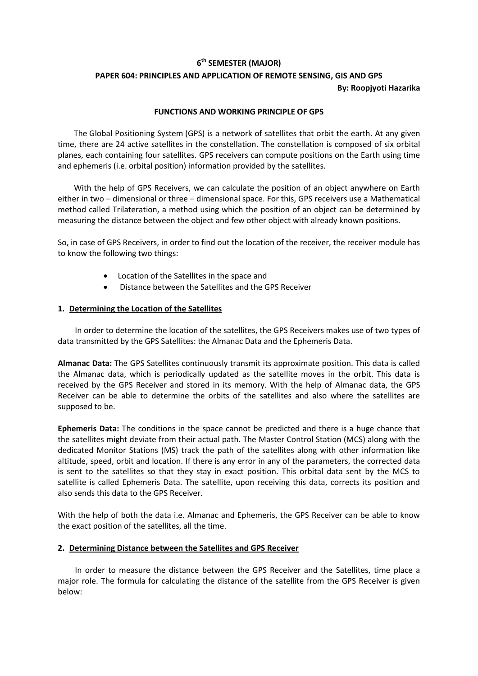### **6 th SEMESTER (MAJOR)**

# **PAPER 604: PRINCIPLES AND APPLICATION OF REMOTE SENSING, GIS AND GPS**

## **By: Roopjyoti Hazarika**

#### **FUNCTIONS AND WORKING PRINCIPLE OF GPS**

The [Global Positioning System](https://www.jmu.edu/cisr/research/sic/glossary.htm#GlobalPositioningSystem) (GPS) is a network of satellites that orbit the earth. At any given time, there are 24 active satellites in the constellation. The constellation is composed of six orbital planes, each containing four satellites. GPS receivers can compute positions on the Earth using time and ephemeris (i.e. orbital position) information provided by the satellites.

With the help of GPS Receivers, we can calculate the position of an object anywhere on Earth either in two – dimensional or three – dimensional space. For this, GPS receivers use a Mathematical method called Trilateration, a method using which the position of an object can be determined by measuring the distance between the object and few other object with already known positions.

So, in case of GPS Receivers, in order to find out the location of the receiver, the receiver module has to know the following two things:

- Location of the Satellites in the space and
- Distance between the Satellites and the GPS Receiver

#### **1. Determining the Location of the Satellites**

In order to determine the location of the satellites, the GPS Receivers makes use of two types of data transmitted by the GPS Satellites: the Almanac Data and the Ephemeris Data.

**Almanac Data:** The GPS Satellites continuously transmit its approximate position. This data is called the Almanac data, which is periodically updated as the satellite moves in the orbit. This data is received by the GPS Receiver and stored in its memory. With the help of Almanac data, the GPS Receiver can be able to determine the orbits of the satellites and also where the satellites are supposed to be.

**Ephemeris Data:** The conditions in the space cannot be predicted and there is a huge chance that the satellites might deviate from their actual path. The Master Control Station (MCS) along with the dedicated Monitor Stations (MS) track the path of the satellites along with other information like altitude, speed, orbit and location. If there is any error in any of the parameters, the corrected data is sent to the satellites so that they stay in exact position. This orbital data sent by the MCS to satellite is called Ephemeris Data. The satellite, upon receiving this data, corrects its position and also sends this data to the GPS Receiver.

With the help of both the data i.e. Almanac and Ephemeris, the GPS Receiver can be able to know the exact position of the satellites, all the time.

#### **2. Determining Distance between the Satellites and GPS Receiver**

In order to measure the distance between the GPS Receiver and the Satellites, time place a major role. The formula for calculating the distance of the satellite from the GPS Receiver is given below: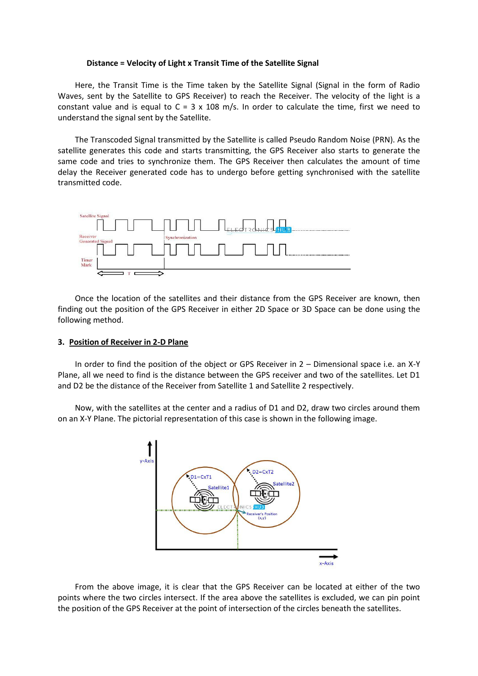#### **Distance = Velocity of Light x Transit Time of the Satellite Signal**

Here, the Transit Time is the Time taken by the Satellite Signal (Signal in the form of Radio Waves, sent by the Satellite to GPS Receiver) to reach the Receiver. The velocity of the light is a constant value and is equal to  $C = 3 \times 108$  m/s. In order to calculate the time, first we need to understand the signal sent by the Satellite.

The Transcoded Signal transmitted by the Satellite is called Pseudo Random Noise (PRN). As the satellite generates this code and starts transmitting, the GPS Receiver also starts to generate the same code and tries to synchronize them. The GPS Receiver then calculates the amount of time delay the Receiver generated code has to undergo before getting synchronised with the satellite transmitted code.



Once the location of the satellites and their distance from the GPS Receiver are known, then finding out the position of the GPS Receiver in either 2D Space or 3D Space can be done using the following method.

#### **3. Position of Receiver in 2-D Plane**

In order to find the position of the object or GPS Receiver in 2 – Dimensional space i.e. an X-Y Plane, all we need to find is the distance between the GPS receiver and two of the satellites. Let D1 and D2 be the distance of the Receiver from Satellite 1 and Satellite 2 respectively.

Now, with the satellites at the center and a radius of D1 and D2, draw two circles around them on an X-Y Plane. The pictorial representation of this case is shown in the following image.



From the above image, it is clear that the GPS Receiver can be located at either of the two points where the two circles intersect. If the area above the satellites is excluded, we can pin point the position of the GPS Receiver at the point of intersection of the circles beneath the satellites.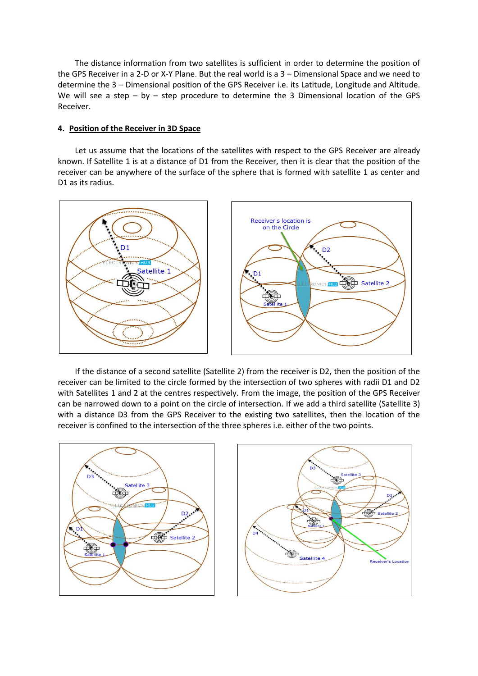The distance information from two satellites is sufficient in order to determine the position of the GPS Receiver in a 2-D or X-Y Plane. But the real world is a 3 – Dimensional Space and we need to determine the 3 – Dimensional position of the GPS Receiver i.e. its Latitude, Longitude and Altitude. We will see a step – by – step procedure to determine the 3 Dimensional location of the GPS Receiver.

#### **4. Position of the Receiver in 3D Space**

Let us assume that the locations of the satellites with respect to the GPS Receiver are already known. If Satellite 1 is at a distance of D1 from the Receiver, then it is clear that the position of the receiver can be anywhere of the surface of the sphere that is formed with satellite 1 as center and D1 as its radius.



If the distance of a second satellite (Satellite 2) from the receiver is D2, then the position of the receiver can be limited to the circle formed by the intersection of two spheres with radii D1 and D2 with Satellites 1 and 2 at the centres respectively. From the image, the position of the GPS Receiver can be narrowed down to a point on the circle of intersection. If we add a third satellite (Satellite 3) with a distance D3 from the GPS Receiver to the existing two satellites, then the location of the receiver is confined to the intersection of the three spheres i.e. either of the two points.